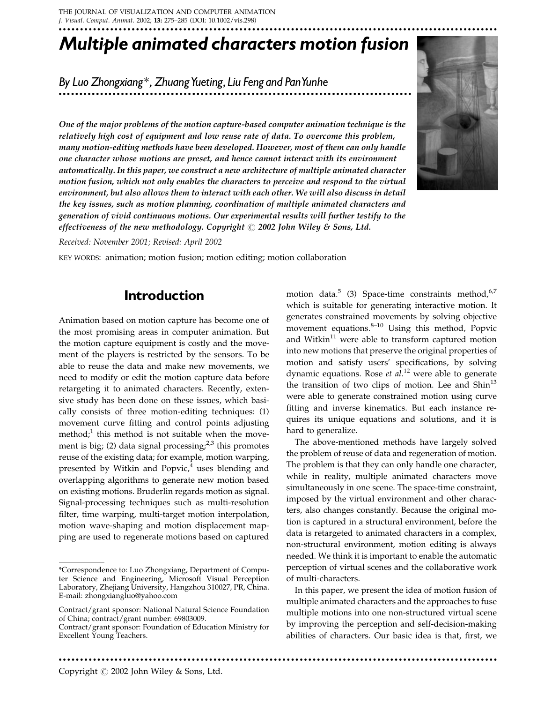# **Multiple animated characters motion fusion**

By Luo Zhongxiang\*, Zhuang Yueting, Liu Feng and PanYunhe

One of the major problems of the motion capture-based computer animation technique is the relatively high cost of equipment and low reuse rate of data. To overcome this problem, many motion-editing methods have been developed. However, most of them can only handle one character whose motions are preset, and hence cannot interact with its environment automatically. In this paper, we construct a new architecture of multiple animated character motion fusion, which not only enables the characters to perceive and respond to the virtual environment, but also allows them to interact with each other. We will also discuss in detail the key issues, such as motion planning, coordination of multiple animated characters and generation of vivid continuous motions. Our experimental results will further testify to the effectiveness of the new methodology. Copyright  $\odot$  2002 John Wiley & Sons, Ltd.

Received: November 2001; Revised: April 2002

KEY WORDS: animation; motion fusion; motion editing; motion collaboration



### **Introduction**

Animation based on motion capture has become one of the most promising areas in computer animation. But the motion capture equipment is costly and the movement of the players is restricted by the sensors. To be able to reuse the data and make new movements, we need to modify or edit the motion capture data before retargeting it to animated characters. Recently, extensive study has been done on these issues, which basically consists of three motion-editing techniques: (1) movement curve fitting and control points adjusting method;<sup>1</sup> this method is not suitable when the movement is big; (2) data signal processing; $2^{2,3}$  this promotes reuse of the existing data; for example, motion warping, presented by Witkin and Popvic,<sup>4</sup> uses blending and overlapping algorithms to generate new motion based on existing motions. Bruderlin regards motion as signal. Signal-processing techniques such as multi-resolution filter, time warping, multi-target motion interpolation, motion wave-shaping and motion displacement mapping are used to regenerate motions based on captured

motion data.<sup>5</sup> (3) Space-time constraints method,  $6,7$ which is suitable for generating interactive motion. It generates constrained movements by solving objective movement equations.<sup>8-10</sup> Using this method, Popvic and Witkin<sup>11</sup> were able to transform captured motion into new motions that preserve the original properties of motion and satisfy users' specifications, by solving dynamic equations. Rose *et al.*<sup>12</sup> were able to generate the transition of two clips of motion. Lee and Shin<sup>13</sup> were able to generate constrained motion using curve fitting and inverse kinematics. But each instance requires its unique equations and solutions, and it is hard to generalize.

The above-mentioned methods have largely solved the problem of reuse of data and regeneration of motion. The problem is that they can only handle one character, while in reality, multiple animated characters move simultaneously in one scene. The space-time constraint, imposed by the virtual environment and other characters, also changes constantly. Because the original motion is captured in a structural environment, before the data is retargeted to animated characters in a complex, non-structural environment, motion editing is always needed. We think it is important to enable the automatic perception of virtual scenes and the collaborative work of multi-characters.

In this paper, we present the idea of motion fusion of multiple animated characters and the approaches to fuse multiple motions into one non-structured virtual scene by improving the perception and self-decision-making abilities of characters. Our basic idea is that, first, we

Copyright © 2002 John Wiley & Sons, Ltd.

<sup>\*</sup>Correspondence to: Luo Zhongxiang, Department of Computer Science and Engineering, Microsoft Visual Perception Laboratory, Zhejiang University, Hangzhou 310027, PR, China. E-mail: zhongxiangluo@yahoo.com

Contract/grant sponsor: National Natural Science Foundation of China; contract/grant number: 69803009.

Contract/grant sponsor: Foundation of Education Ministry for Excellent Young Teachers.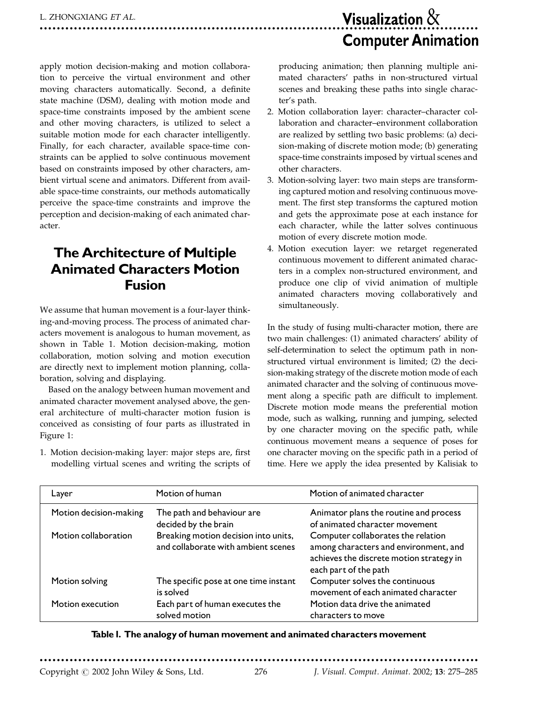### Visualization  $\&$ \*\*\*\*\*\*\*\*\*\*\*\*\*\*\*\*\*\*\*\*\*\*\*\*\*\*\*\*\*\*\*\*\*\*\*\*\*\*\*\*\*\*\*\*\*\*\*\*\*\*\*\*\*\*\*\*\*\*\*\*\*\*\*\*\*\*\*\*\*\*\*\*\*\*\*\*\*\*\*\*\*\*\*\*\*\*\*\*\*\*\*\*\*\*\*\*\*\*\*\*\*\* **Computer Animation**

apply motion decision-making and motion collaboration to perceive the virtual environment and other moving characters automatically. Second, a definite state machine (DSM), dealing with motion mode and space-time constraints imposed by the ambient scene and other moving characters, is utilized to select a suitable motion mode for each character intelligently. Finally, for each character, available space-time constraints can be applied to solve continuous movement based on constraints imposed by other characters, ambient virtual scene and animators. Different from available space-time constraints, our methods automatically perceive the space-time constraints and improve the perception and decision-making of each animated character.

# The Architecture of Multiple Animated Characters Motion Fusion

We assume that human movement is a four-layer thinking-and-moving process. The process of animated characters movement is analogous to human movement, as shown in Table 1. Motion decision-making, motion collaboration, motion solving and motion execution are directly next to implement motion planning, collaboration, solving and displaying.

Based on the analogy between human movement and animated character movement analysed above, the general architecture of multi-character motion fusion is conceived as consisting of four parts as illustrated in Figure 1:

1. Motion decision-making layer: major steps are, first modelling virtual scenes and writing the scripts of producing animation; then planning multiple animated characters' paths in non-structured virtual scenes and breaking these paths into single character's path.

- 2. Motion collaboration layer: character–character collaboration and character–environment collaboration are realized by settling two basic problems: (a) decision-making of discrete motion mode; (b) generating space-time constraints imposed by virtual scenes and other characters.
- 3. Motion-solving layer: two main steps are transforming captured motion and resolving continuous movement. The first step transforms the captured motion and gets the approximate pose at each instance for each character, while the latter solves continuous motion of every discrete motion mode.
- 4. Motion execution layer: we retarget regenerated continuous movement to different animated characters in a complex non-structured environment, and produce one clip of vivid animation of multiple animated characters moving collaboratively and simultaneously.

In the study of fusing multi-character motion, there are two main challenges: (1) animated characters' ability of self-determination to select the optimum path in nonstructured virtual environment is limited; (2) the decision-making strategy of the discrete motion mode of each animated character and the solving of continuous movement along a specific path are difficult to implement. Discrete motion mode means the preferential motion mode, such as walking, running and jumping, selected by one character moving on the specific path, while continuous movement means a sequence of poses for one character moving on the specific path in a period of time. Here we apply the idea presented by Kalisiak to

| Layer                  | Motion of human                                                             | Motion of animated character                                                                                                                     |
|------------------------|-----------------------------------------------------------------------------|--------------------------------------------------------------------------------------------------------------------------------------------------|
| Motion decision-making | The path and behaviour are<br>decided by the brain                          | Animator plans the routine and process<br>of animated character movement                                                                         |
| Motion collaboration   | Breaking motion decision into units,<br>and collaborate with ambient scenes | Computer collaborates the relation<br>among characters and environment, and<br>achieves the discrete motion strategy in<br>each part of the path |
| Motion solving         | The specific pose at one time instant<br>is solved                          | Computer solves the continuous<br>movement of each animated character                                                                            |
| Motion execution       | Each part of human executes the<br>solved motion                            | Motion data drive the animated<br>characters to move                                                                                             |

#### Table I. The analogy of human movement and animated characters movement

Copyright  $\odot$  2002 John Wiley & Sons, Ltd. 276 [J. Visual. Comput. Animat. 2002; 13: 275–285

\*\*\*\*\*\*\*\*\*\*\*\*\*\*\*\*\*\*\*\*\*\*\*\*\*\*\*\*\*\*\*\*\*\*\*\*\*\*\*\*\*\*\*\*\*\*\*\*\*\*\*\*\*\*\*\*\*\*\*\*\*\*\*\*\*\*\*\*\*\*\*\*\*\*\*\*\*\*\*\*\*\*\*\*\*\*\*\*\*\*\*\*\*\*\*\*\*\*\*\*\*\*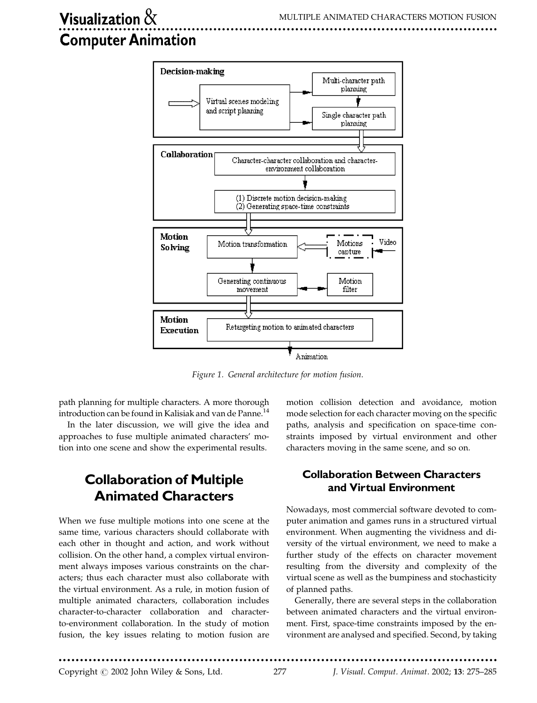...................

# Visualization  $\&$ **Computer Animation**



Figure 1. General architecture for motion fusion.

path planning for multiple characters. A more thorough introduction can be found in Kalisiak and van de Panne.<sup>14</sup>

In the later discussion, we will give the idea and approaches to fuse multiple animated characters' motion into one scene and show the experimental results.

# **Collaboration of Multiple Animated Characters**

When we fuse multiple motions into one scene at the same time, various characters should collaborate with each other in thought and action, and work without collision. On the other hand, a complex virtual environment always imposes various constraints on the characters; thus each character must also collaborate with the virtual environment. As a rule, in motion fusion of multiple animated characters, collaboration includes character-to-character collaboration and characterto-environment collaboration. In the study of motion fusion, the key issues relating to motion fusion are motion collision detection and avoidance, motion mode selection for each character moving on the specific paths, analysis and specification on space-time constraints imposed by virtual environment and other characters moving in the same scene, and so on.

### **Collaboration Between Characters** and Virtual Environment

Nowadays, most commercial software devoted to computer animation and games runs in a structured virtual environment. When augmenting the vividness and diversity of the virtual environment, we need to make a further study of the effects on character movement resulting from the diversity and complexity of the virtual scene as well as the bumpiness and stochasticity of planned paths.

Generally, there are several steps in the collaboration between animated characters and the virtual environment. First, space-time constraints imposed by the environment are analysed and specified. Second, by taking

Copyright © 2002 John Wiley & Sons, Ltd.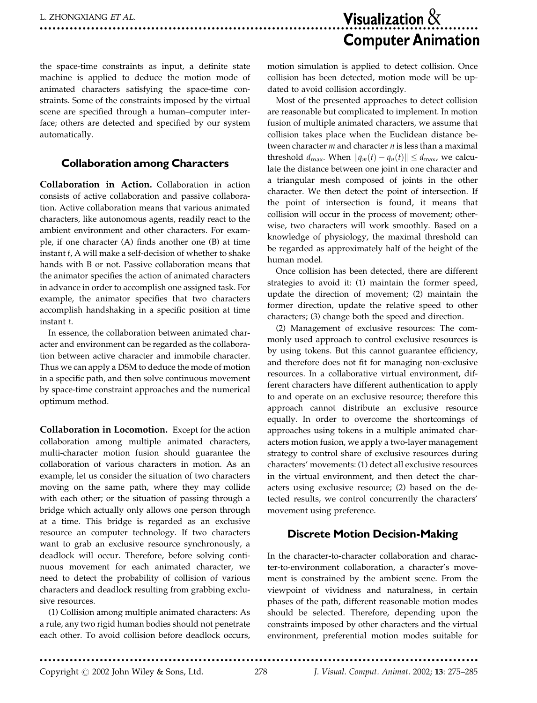\*\*\*\*\*\*\*\*\*\*\*\*\*\*\*\*\*\*\*\*\*\*\*\*\*\*\*\*\*\*\*\*\*\*\*\*\*\*\*\*\*\*\*\*\*\*\*\*\*\*\*\*\*\*\*\*\*\*\*\*\*\*\*\*\*\*\*\*\*\*\*\*\*\*\*\*\*\*\*\*\*\*\*\*\*\*\*\*\*\*\*\*\*\*\*\*\*\*\*\*\*\*

# Visualization  $\&$ **Computer Animation**

the space-time constraints as input, a definite state machine is applied to deduce the motion mode of animated characters satisfying the space-time constraints. Some of the constraints imposed by the virtual scene are specified through a human–computer interface; others are detected and specified by our system automatically.

#### Collaboration among Characters

Collaboration in Action. Collaboration in action consists of active collaboration and passive collaboration. Active collaboration means that various animated characters, like autonomous agents, readily react to the ambient environment and other characters. For example, if one character (A) finds another one (B) at time instant  $t$ , A will make a self-decision of whether to shake hands with B or not. Passive collaboration means that the animator specifies the action of animated characters in advance in order to accomplish one assigned task. For example, the animator specifies that two characters accomplish handshaking in a specific position at time instant t.

In essence, the collaboration between animated character and environment can be regarded as the collaboration between active character and immobile character. Thus we can apply a DSM to deduce the mode of motion in a specific path, and then solve continuous movement by space-time constraint approaches and the numerical optimum method.

Collaboration in Locomotion. Except for the action collaboration among multiple animated characters, multi-character motion fusion should guarantee the collaboration of various characters in motion. As an example, let us consider the situation of two characters moving on the same path, where they may collide with each other; or the situation of passing through a bridge which actually only allows one person through at a time. This bridge is regarded as an exclusive resource an computer technology. If two characters want to grab an exclusive resource synchronously, a deadlock will occur. Therefore, before solving continuous movement for each animated character, we need to detect the probability of collision of various characters and deadlock resulting from grabbing exclusive resources.

(1) Collision among multiple animated characters: As a rule, any two rigid human bodies should not penetrate each other. To avoid collision before deadlock occurs, motion simulation is applied to detect collision. Once collision has been detected, motion mode will be updated to avoid collision accordingly.

Most of the presented approaches to detect collision are reasonable but complicated to implement. In motion fusion of multiple animated characters, we assume that collision takes place when the Euclidean distance between character  $m$  and character  $n$  is less than a maximal threshold  $d_{\text{max}}$ . When  $\|q_m(t) - q_n(t)\| \le d_{\text{max}}$ , we calculate the distance between one joint in one character and a triangular mesh composed of joints in the other character. We then detect the point of intersection. If the point of intersection is found, it means that collision will occur in the process of movement; otherwise, two characters will work smoothly. Based on a knowledge of physiology, the maximal threshold can be regarded as approximately half of the height of the human model.

Once collision has been detected, there are different strategies to avoid it: (1) maintain the former speed, update the direction of movement; (2) maintain the former direction, update the relative speed to other characters; (3) change both the speed and direction.

(2) Management of exclusive resources: The commonly used approach to control exclusive resources is by using tokens. But this cannot guarantee efficiency, and therefore does not fit for managing non-exclusive resources. In a collaborative virtual environment, different characters have different authentication to apply to and operate on an exclusive resource; therefore this approach cannot distribute an exclusive resource equally. In order to overcome the shortcomings of approaches using tokens in a multiple animated characters motion fusion, we apply a two-layer management strategy to control share of exclusive resources during characters' movements: (1) detect all exclusive resources in the virtual environment, and then detect the characters using exclusive resource; (2) based on the detected results, we control concurrently the characters' movement using preference.

#### Discrete Motion Decision-Making

In the character-to-character collaboration and character-to-environment collaboration, a character's movement is constrained by the ambient scene. From the viewpoint of vividness and naturalness, in certain phases of the path, different reasonable motion modes should be selected. Therefore, depending upon the constraints imposed by other characters and the virtual environment, preferential motion modes suitable for

\*\*\*\*\*\*\*\*\*\*\*\*\*\*\*\*\*\*\*\*\*\*\*\*\*\*\*\*\*\*\*\*\*\*\*\*\*\*\*\*\*\*\*\*\*\*\*\*\*\*\*\*\*\*\*\*\*\*\*\*\*\*\*\*\*\*\*\*\*\*\*\*\*\*\*\*\*\*\*\*\*\*\*\*\*\*\*\*\*\*\*\*\*\*\*\*\*\*\*\*\*\*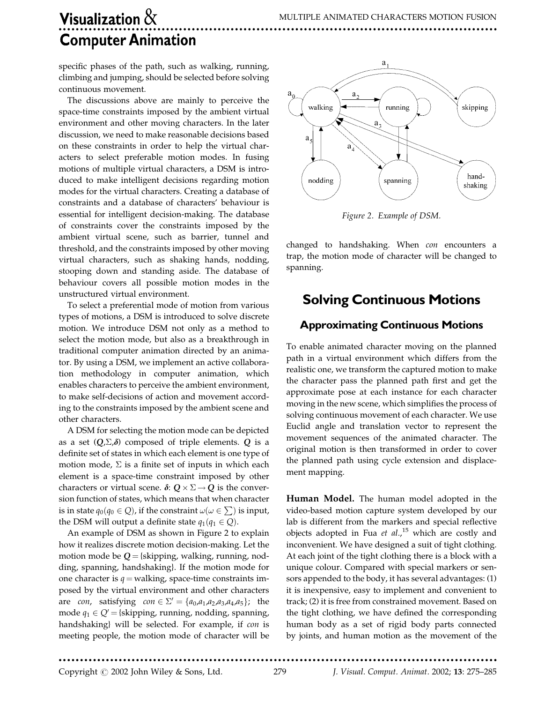# Visualization  $\&$ \*\*\*\*\*\*\*\*\*\*\*\*\*\*\*\*\*\*\*\*\*\*\*\*\*\*\*\*\*\*\*\*\*\*\*\*\*\*\*\*\*\*\*\*\*\*\*\*\*\*\*\*\*\*\*\*\*\*\*\*\*\*\*\*\*\*\*\*\*\*\*\*\*\*\*\*\*\*\*\*\*\*\*\*\*\*\*\*\*\*\*\*\*\*\*\*\*\*\*\*\*\*

specific phases of the path, such as walking, running, climbing and jumping, should be selected before solving continuous movement.

The discussions above are mainly to perceive the space-time constraints imposed by the ambient virtual environment and other moving characters. In the later discussion, we need to make reasonable decisions based on these constraints in order to help the virtual characters to select preferable motion modes. In fusing motions of multiple virtual characters, a DSM is introduced to make intelligent decisions regarding motion modes for the virtual characters. Creating a database of constraints and a database of characters' behaviour is essential for intelligent decision-making. The database of constraints cover the constraints imposed by the ambient virtual scene, such as barrier, tunnel and threshold, and the constraints imposed by other moving virtual characters, such as shaking hands, nodding, stooping down and standing aside. The database of behaviour covers all possible motion modes in the unstructured virtual environment.

To select a preferential mode of motion from various types of motions, a DSM is introduced to solve discrete motion. We introduce DSM not only as a method to select the motion mode, but also as a breakthrough in traditional computer animation directed by an animator. By using a DSM, we implement an active collaboration methodology in computer animation, which enables characters to perceive the ambient environment, to make self-decisions of action and movement according to the constraints imposed by the ambient scene and other characters.

A DSM for selecting the motion mode can be depicted as a set  $(Q,\Sigma,\delta)$  composed of triple elements.  $Q$  is a definite set of states in which each element is one type of motion mode,  $\Sigma$  is a finite set of inputs in which each element is a space-time constraint imposed by other characters or virtual scene.  $\delta$ :  $Q \times \Sigma \rightarrow Q$  is the conversion function of states, which means that when character is in state  $q_0(q_0 \in Q)$ , if the constraint  $\omega(\omega \in \Sigma)$  is input, the DSM will output a definite state  $q_1(q_1 \in Q)$ .

An example of DSM as shown in Figure 2 to explain how it realizes discrete motion decision-making. Let the motion mode be  $Q = \{$ skipping, walking, running, nodding, spanning, handshaking}. If the motion mode for one character is  $q =$  walking, space-time constraints imposed by the virtual environment and other characters are *con*, satisfying  $con \in \Sigma' = \{a_0, a_1, a_2, a_3, a_4, a_5\}$ ; the mode  $q_1 \in Q' = \{$ skipping, running, nodding, spanning, handshaking} will be selected. For example, if con is meeting people, the motion mode of character will be



Figure 2. Example of DSM.

changed to handshaking. When con encounters a trap, the motion mode of character will be changed to spanning.

### Solving Continuous Motions

#### Approximating Continuous Motions

To enable animated character moving on the planned path in a virtual environment which differs from the realistic one, we transform the captured motion to make the character pass the planned path first and get the approximate pose at each instance for each character moving in the new scene, which simplifies the process of solving continuous movement of each character. We use Euclid angle and translation vector to represent the movement sequences of the animated character. The original motion is then transformed in order to cover the planned path using cycle extension and displacement mapping.

Human Model. The human model adopted in the video-based motion capture system developed by our lab is different from the markers and special reflective objects adopted in Fua et al.,<sup>15</sup> which are costly and inconvenient. We have designed a suit of tight clothing. At each joint of the tight clothing there is a block with a unique colour. Compared with special markers or sensors appended to the body, it has several advantages: (1) it is inexpensive, easy to implement and convenient to track; (2) it is free from constrained movement. Based on the tight clothing, we have defined the corresponding human body as a set of rigid body parts connected by joints, and human motion as the movement of the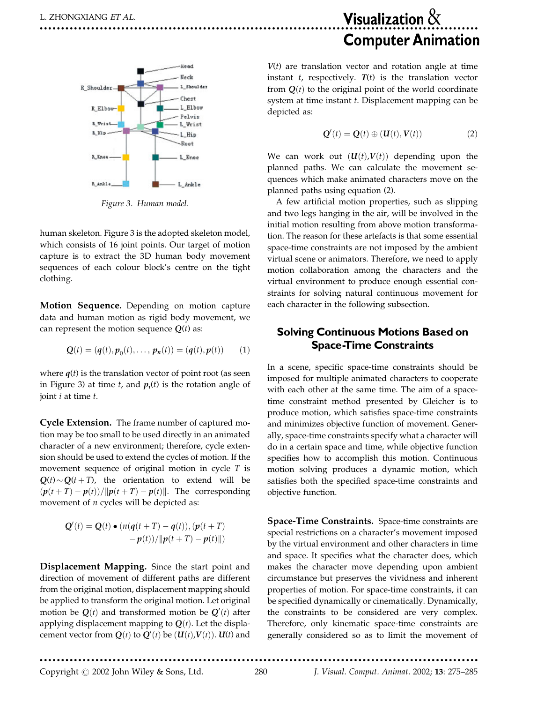

Figure 3. Human model.

human skeleton. Figure 3 is the adopted skeleton model, which consists of 16 joint points. Our target of motion capture is to extract the 3D human body movement sequences of each colour block's centre on the tight clothing.

Motion Sequence. Depending on motion capture data and human motion as rigid body movement, we can represent the motion sequence  $Q(t)$  as:

$$
Q(t) = (q(t), p_0(t), \dots, p_n(t)) = (q(t), p(t)) \qquad (1)
$$

where  $q(t)$  is the translation vector of point root (as seen in Figure 3) at time t, and  $p_i(t)$  is the rotation angle of joint  $i$  at time  $t$ .

Cycle Extension. The frame number of captured motion may be too small to be used directly in an animated character of a new environment; therefore, cycle extension should be used to extend the cycles of motion. If the movement sequence of original motion in cycle T is  $Q(t) \sim Q(t + T)$ , the orientation to extend will be  $(p(t+T) - p(t))/\|p(t+T) - p(t)\|$ . The corresponding movement of *n* cycles will be depicted as:

$$
Q'(t) = Q(t) \bullet (n(q(t+T) - q(t)), (p(t+T) - p(t)) / ||p(t+T) - p(t)||)
$$

Displacement Mapping. Since the start point and direction of movement of different paths are different from the original motion, displacement mapping should be applied to transform the original motion. Let original motion be  $Q(t)$  and transformed motion be  $Q'(t)$  after applying displacement mapping to  $Q(t)$ . Let the displacement vector from  $Q(t)$  to  $Q'(t)$  be  $(\mathbf{U}(t), \mathbf{V}(t))$ .  $\mathbf{U}(t)$  and

### Visualization  $\&$ \*\*\*\*\*\*\*\*\*\*\*\*\*\*\*\*\*\*\*\*\*\*\*\*\*\*\*\*\*\*\*\*\*\*\*\*\*\*\*\*\*\*\*\*\*\*\*\*\*\*\*\*\*\*\*\*\*\*\*\*\*\*\*\*\*\*\*\*\*\*\*\*\*\*\*\*\*\*\*\*\*\*\*\*\*\*\*\*\*\*\*\*\*\*\*\*\*\*\*\*\*\* **Computer Animation**

 $V(t)$  are translation vector and rotation angle at time instant  $t$ , respectively.  $T(t)$  is the translation vector from  $Q(t)$  to the original point of the world coordinate system at time instant t. Displacement mapping can be depicted as:

$$
\mathbf{Q}'(t) = \mathbf{Q}(t) \oplus (\mathbf{U}(t), \mathbf{V}(t))
$$
 (2)

We can work out  $(U(t),V(t))$  depending upon the planned paths. We can calculate the movement sequences which make animated characters move on the planned paths using equation (2).

A few artificial motion properties, such as slipping and two legs hanging in the air, will be involved in the initial motion resulting from above motion transformation. The reason for these artefacts is that some essential space-time constraints are not imposed by the ambient virtual scene or animators. Therefore, we need to apply motion collaboration among the characters and the virtual environment to produce enough essential constraints for solving natural continuous movement for each character in the following subsection.

#### Solving Continuous Motions Based on Space-Time Constraints

In a scene, specific space-time constraints should be imposed for multiple animated characters to cooperate with each other at the same time. The aim of a spacetime constraint method presented by Gleicher is to produce motion, which satisfies space-time constraints and minimizes objective function of movement. Generally, space-time constraints specify what a character will do in a certain space and time, while objective function specifies how to accomplish this motion. Continuous motion solving produces a dynamic motion, which satisfies both the specified space-time constraints and objective function.

Space-Time Constraints. Space-time constraints are special restrictions on a character's movement imposed by the virtual environment and other characters in time and space. It specifies what the character does, which makes the character move depending upon ambient circumstance but preserves the vividness and inherent properties of motion. For space-time constraints, it can be specified dynamically or cinematically. Dynamically, the constraints to be considered are very complex. Therefore, only kinematic space-time constraints are generally considered so as to limit the movement of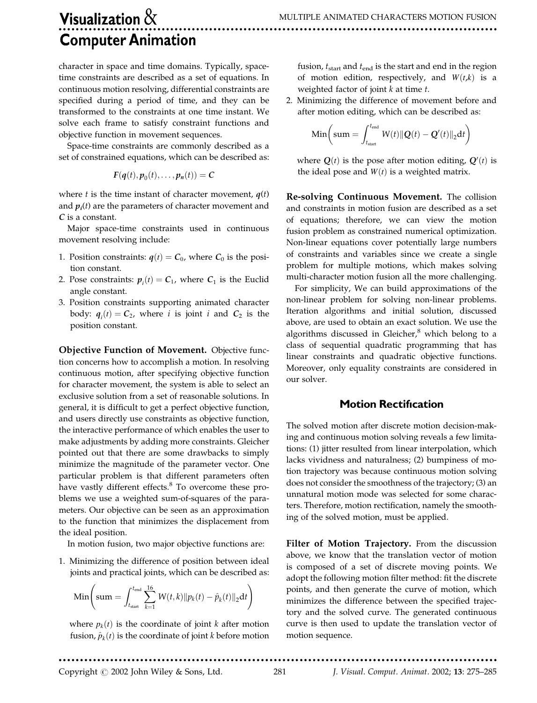\*\*\*\*\*\*\*\*\*\*\*\*\*\*\*\*\*\*\*\*\*\*\*\*\*\*\*\*\*\*\*\*\*\*\*\*\*\*\*\*\*\*\*\*\*\*\*\*\*\*\*\*\*\*\*\*\*\*\*\*\*\*\*\*\*\*\*\*\*\*\*\*\*\*\*\*\*\*\*\*\*\*\*\*\*\*\*\*\*\*\*\*\*\*\*\*\*\*\*\*\*\*

# Visualization  $\&$ **Computer Animation**

character in space and time domains. Typically, spacetime constraints are described as a set of equations. In continuous motion resolving, differential constraints are specified during a period of time, and they can be transformed to the constraints at one time instant. We solve each frame to satisfy constraint functions and objective function in movement sequences.

Space-time constraints are commonly described as a set of constrained equations, which can be described as:

$$
\boldsymbol{F}(\boldsymbol{q}(t),\boldsymbol{p}_0(t),\ldots,\boldsymbol{p}_n(t))=\boldsymbol{C}
$$

where t is the time instant of character movement,  $q(t)$ and  $p_i(t)$  are the parameters of character movement and C is a constant.

Major space-time constraints used in continuous movement resolving include:

- 1. Position constraints:  $q(t) = C_0$ , where  $C_0$  is the position constant.
- 2. Pose constraints:  $p_i(t) = C_1$ , where  $C_1$  is the Euclid angle constant.
- 3. Position constraints supporting animated character body:  $q_i(t) = C_2$ , where *i* is joint *i* and  $C_2$  is the position constant.

Objective Function of Movement. Objective function concerns how to accomplish a motion. In resolving continuous motion, after specifying objective function for character movement, the system is able to select an exclusive solution from a set of reasonable solutions. In general, it is difficult to get a perfect objective function, and users directly use constraints as objective function, the interactive performance of which enables the user to make adjustments by adding more constraints. Gleicher pointed out that there are some drawbacks to simply minimize the magnitude of the parameter vector. One particular problem is that different parameters often have vastly different effects.<sup>8</sup> To overcome these problems we use a weighted sum-of-squares of the parameters. Our objective can be seen as an approximation to the function that minimizes the displacement from the ideal position.

In motion fusion, two major objective functions are:

1. Minimizing the difference of position between ideal joints and practical joints, which can be described as:

$$
\text{Min}\left(\text{sum} = \int_{t_{\text{start}}}^{t_{\text{end}}} \sum_{k=1}^{16} W(t,k) \| p_k(t) - \hat{p}_k(t) \|_2 dt \right)
$$

where  $p_k(t)$  is the coordinate of joint k after motion fusion,  $\hat{p}_k(t)$  is the coordinate of joint k before motion fusion,  $t_{start}$  and  $t_{end}$  is the start and end in the region of motion edition, respectively, and  $W(t, k)$  is a weighted factor of joint  $k$  at time  $t$ .

2. Minimizing the difference of movement before and after motion editing, which can be described as:

$$
\text{Min}\bigg(\text{sum} = \int_{t_{\text{start}}}^{t_{\text{end}}} W(t) \| \mathbf{Q}(t) - \mathbf{Q}'(t) \|_2 \mathrm{d}t\bigg)
$$

where  $Q(t)$  is the pose after motion editing,  $Q'(t)$  is the ideal pose and  $W(t)$  is a weighted matrix.

Re-solving Continuous Movement. The collision and constraints in motion fusion are described as a set of equations; therefore, we can view the motion fusion problem as constrained numerical optimization. Non-linear equations cover potentially large numbers of constraints and variables since we create a single problem for multiple motions, which makes solving multi-character motion fusion all the more challenging.

For simplicity, We can build approximations of the non-linear problem for solving non-linear problems. Iteration algorithms and initial solution, discussed above, are used to obtain an exact solution. We use the algorithms discussed in Gleicher, $8$  which belong to a class of sequential quadratic programming that has linear constraints and quadratic objective functions. Moreover, only equality constraints are considered in our solver.

#### **Motion Rectification**

The solved motion after discrete motion decision-making and continuous motion solving reveals a few limitations: (1) jitter resulted from linear interpolation, which lacks vividness and naturalness; (2) bumpiness of motion trajectory was because continuous motion solving does not consider the smoothness of the trajectory; (3) an unnatural motion mode was selected for some characters. Therefore, motion rectification, namely the smoothing of the solved motion, must be applied.

Filter of Motion Trajectory. From the discussion above, we know that the translation vector of motion is composed of a set of discrete moving points. We adopt the following motion filter method: fit the discrete points, and then generate the curve of motion, which minimizes the difference between the specified trajectory and the solved curve. The generated continuous curve is then used to update the translation vector of motion sequence.

\*\*\*\*\*\*\*\*\*\*\*\*\*\*\*\*\*\*\*\*\*\*\*\*\*\*\*\*\*\*\*\*\*\*\*\*\*\*\*\*\*\*\*\*\*\*\*\*\*\*\*\*\*\*\*\*\*\*\*\*\*\*\*\*\*\*\*\*\*\*\*\*\*\*\*\*\*\*\*\*\*\*\*\*\*\*\*\*\*\*\*\*\*\*\*\*\*\*\*\*\*\*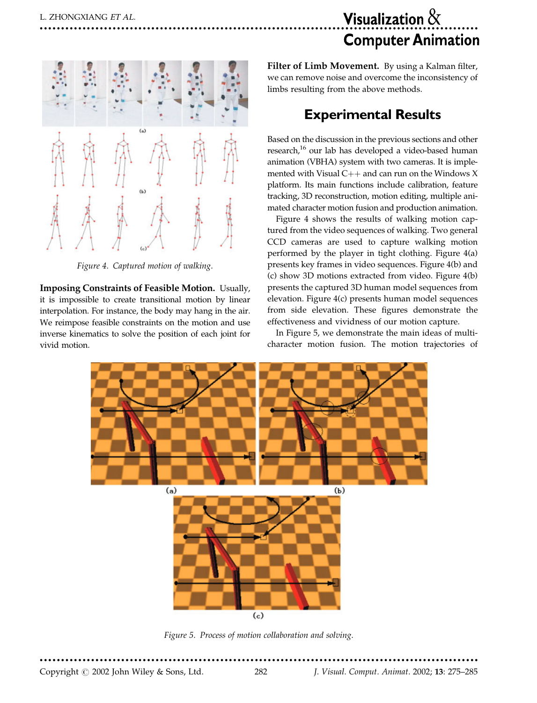# Visualization  $\&$ **Computer Animation**



Figure 4. Captured motion of walking.

Imposing Constraints of Feasible Motion. Usually, it is impossible to create transitional motion by linear interpolation. For instance, the body may hang in the air. We reimpose feasible constraints on the motion and use inverse kinematics to solve the position of each joint for vivid motion.

Filter of Limb Movement. By using a Kalman filter, we can remove noise and overcome the inconsistency of limbs resulting from the above methods.

# **Experimental Results**

Based on the discussion in the previous sections and other research,<sup>16</sup> our lab has developed a video-based human animation (VBHA) system with two cameras. It is implemented with Visual  $C_{++}$  and can run on the Windows X platform. Its main functions include calibration, feature tracking, 3D reconstruction, motion editing, multiple animated character motion fusion and production animation.

Figure 4 shows the results of walking motion captured from the video sequences of walking. Two general CCD cameras are used to capture walking motion performed by the player in tight clothing. Figure 4(a) presents key frames in video sequences. Figure 4(b) and (c) show 3D motions extracted from video. Figure 4(b) presents the captured 3D human model sequences from elevation. Figure 4(c) presents human model sequences from side elevation. These figures demonstrate the effectiveness and vividness of our motion capture.

In Figure 5, we demonstrate the main ideas of multicharacter motion fusion. The motion trajectories of



Figure 5. Process of motion collaboration and solving.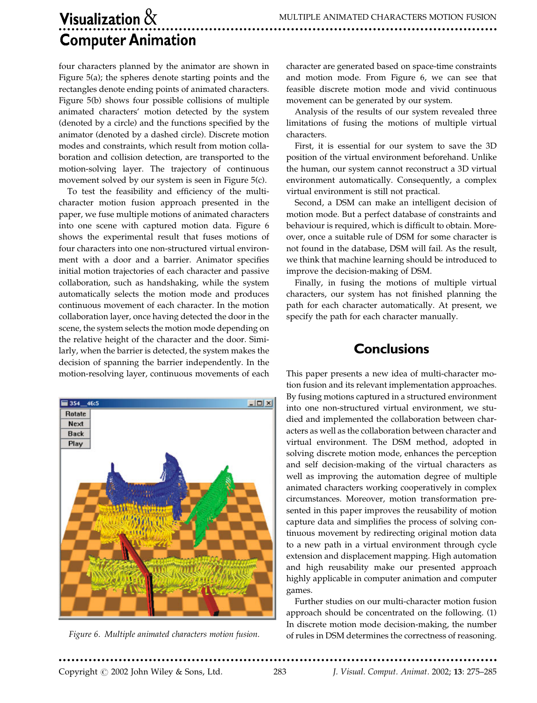### Visualization  $\&$ \*\*\*\*\*\*\*\*\*\*\*\*\*\*\*\*\*\*\*\*\*\*\*\*\*\*\*\*\*\*\*\*\*\*\*\*\*\*\*\*\*\*\*\*\*\*\*\*\*\*\*\*\*\*\*\*\*\*\*\*\*\*\*\*\*\*\*\*\*\*\*\*\*\*\*\*\*\*\*\*\*\*\*\*\*\*\*\*\*\*\*\*\*\*\*\*\*\*\*\*\*\* **Computer Animation**

four characters planned by the animator are shown in Figure 5(a); the spheres denote starting points and the rectangles denote ending points of animated characters. Figure 5(b) shows four possible collisions of multiple animated characters' motion detected by the system (denoted by a circle) and the functions specified by the animator (denoted by a dashed circle). Discrete motion modes and constraints, which result from motion collaboration and collision detection, are transported to the motion-solving layer. The trajectory of continuous movement solved by our system is seen in Figure 5(c).

To test the feasibility and efficiency of the multicharacter motion fusion approach presented in the paper, we fuse multiple motions of animated characters into one scene with captured motion data. Figure 6 shows the experimental result that fuses motions of four characters into one non-structured virtual environment with a door and a barrier. Animator specifies initial motion trajectories of each character and passive collaboration, such as handshaking, while the system automatically selects the motion mode and produces continuous movement of each character. In the motion collaboration layer, once having detected the door in the scene, the system selects the motion mode depending on the relative height of the character and the door. Similarly, when the barrier is detected, the system makes the decision of spanning the barrier independently. In the motion-resolving layer, continuous movements of each



character are generated based on space-time constraints and motion mode. From Figure 6, we can see that feasible discrete motion mode and vivid continuous movement can be generated by our system.

Analysis of the results of our system revealed three limitations of fusing the motions of multiple virtual characters.

First, it is essential for our system to save the 3D position of the virtual environment beforehand. Unlike the human, our system cannot reconstruct a 3D virtual environment automatically. Consequently, a complex virtual environment is still not practical.

Second, a DSM can make an intelligent decision of motion mode. But a perfect database of constraints and behaviour is required, which is difficult to obtain. Moreover, once a suitable rule of DSM for some character is not found in the database, DSM will fail. As the result, we think that machine learning should be introduced to improve the decision-making of DSM.

Finally, in fusing the motions of multiple virtual characters, our system has not finished planning the path for each character automatically. At present, we specify the path for each character manually.

### **Conclusions**

This paper presents a new idea of multi-character motion fusion and its relevant implementation approaches. By fusing motions captured in a structured environment into one non-structured virtual environment, we studied and implemented the collaboration between characters as well as the collaboration between character and virtual environment. The DSM method, adopted in solving discrete motion mode, enhances the perception and self decision-making of the virtual characters as well as improving the automation degree of multiple animated characters working cooperatively in complex circumstances. Moreover, motion transformation presented in this paper improves the reusability of motion capture data and simplifies the process of solving continuous movement by redirecting original motion data to a new path in a virtual environment through cycle extension and displacement mapping. High automation and high reusability make our presented approach highly applicable in computer animation and computer games.

Further studies on our multi-character motion fusion approach should be concentrated on the following. (1) In discrete motion mode decision-making, the number Figure 6. Multiple animated characters motion fusion. of rules in DSM determines the correctness of reasoning.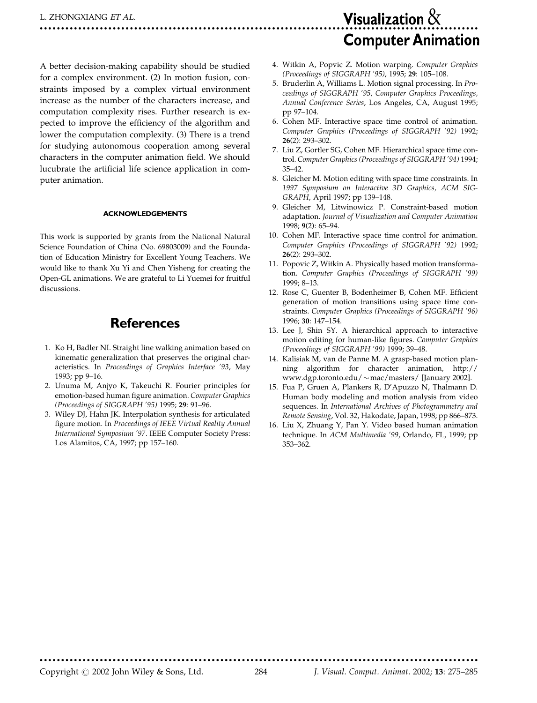A better decision-making capability should be studied for a complex environment. (2) In motion fusion, constraints imposed by a complex virtual environment increase as the number of the characters increase, and computation complexity rises. Further research is expected to improve the efficiency of the algorithm and lower the computation complexity. (3) There is a trend for studying autonomous cooperation among several characters in the computer animation field. We should lucubrate the artificial life science application in computer animation.

#### ACKNOWLEDGEMENTS

This work is supported by grants from the National Natural Science Foundation of China (No. 69803009) and the Foundation of Education Ministry for Excellent Young Teachers. We would like to thank Xu Yi and Chen Yisheng for creating the Open-GL animations. We are grateful to Li Yuemei for fruitful discussions.

### **References**

- 1. Ko H, Badler NI. Straight line walking animation based on kinematic generalization that preserves the original characteristics. In Proceedings of Graphics Interface '93, May 1993; pp 9–16.
- 2. Unuma M, Anjyo K, Takeuchi R. Fourier principles for emotion-based human figure animation. Computer Graphics (Proceedings of SIGGRAPH '95) 1995; 29: 91–96.
- 3. Wiley DJ, Hahn JK. Interpolation synthesis for articulated figure motion. In Proceedings of IEEE Virtual Reality Annual International Symposium '97. IEEE Computer Society Press: Los Alamitos, CA, 1997; pp 157–160.

# Visualization  $\&$ **Computer Animation**

- 4. Witkin A, Popvic Z. Motion warping. Computer Graphics (Proceedings of SIGGRAPH '95), 1995; 29: 105–108.
- 5. Bruderlin A, Williams L. Motion signal processing. In Proceedings of SIGGRAPH '95, Computer Graphics Proceedings, Annual Conference Series, Los Angeles, CA, August 1995; pp 97–104.
- 6. Cohen MF. Interactive space time control of animation. Computer Graphics (Proceedings of SIGGRAPH '92) 1992; 26(2): 293–302.
- 7. Liu Z, Gortler SG, Cohen MF. Hierarchical space time control. Computer Graphics (Proceedings of SIGGRAPH '94) 1994; 35–42.
- 8. Gleicher M. Motion editing with space time constraints. In 1997 Symposium on Interactive 3D Graphics, ACM SIG-GRAPH, April 1997; pp 139–148.
- 9. Gleicher M, Litwinowicz P. Constraint-based motion adaptation. Journal of Visualization and Computer Animation 1998; 9(2): 65–94.
- 10. Cohen MF. Interactive space time control for animation. Computer Graphics (Proceedings of SIGGRAPH '92) 1992; 26(2): 293–302.
- 11. Popovic Z, Witkin A. Physically based motion transformation. Computer Graphics (Proceedings of SIGGRAPH '99) 1999; 8–13.
- 12. Rose C, Guenter B, Bodenheimer B, Cohen MF. Efficient generation of motion transitions using space time constraints. Computer Graphics (Proceedings of SIGGRAPH '96) 1996; 30: 147–154.
- 13. Lee J, Shin SY. A hierarchical approach to interactive motion editing for human-like figures. Computer Graphics (Proceedings of SIGGRAPH '99) 1999; 39–48.
- 14. Kalisiak M, van de Panne M. A grasp-based motion planning algorithm for character animation, http:// www.dgp.toronto.edu/ $\sim$ mac/masters/ [January 2002].
- 15. Fua P, Gruen A, Plankers R, D'Apuzzo N, Thalmann D. Human body modeling and motion analysis from video sequences. In International Archives of Photogrammetry and Remote Sensing, Vol. 32, Hakodate, Japan, 1998; pp 866–873.
- 16. Liu X, Zhuang Y, Pan Y. Video based human animation technique. In ACM Multimedia '99, Orlando, FL, 1999; pp 353–362.

Copyright  $\odot$  2002 John Wiley & Sons, Ltd. 284 J. Visual. Comput. Animat. 2002; 13: 275–285